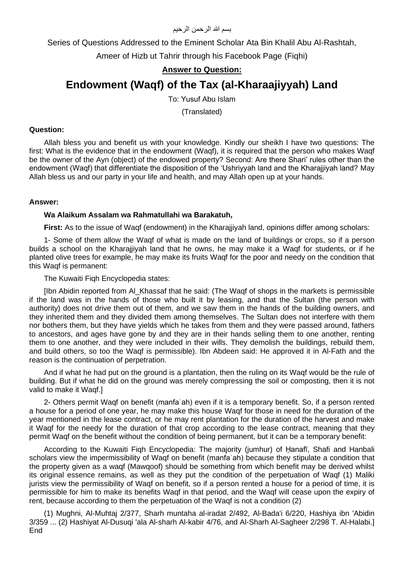#### بسم الله الرحمن الرحيم

Series of Questions Addressed to the Eminent Scholar Ata Bin Khalil Abu Al-Rashtah,

Ameer of Hizb ut Tahrir through his Facebook Page (Fiqhi)

### **Answer to Question:**

# **Endowment (Waqf) of the Tax (al-Kharaajiyyah) Land**

To: Yusuf Abu Islam

(Translated)

#### **Question:**

Allah bless you and benefit us with your knowledge. Kindly our sheikh I have two questions: The first: What is the evidence that in the endowment (Waqf), it is required that the person who makes Waqf be the owner of the Ayn (object) of the endowed property? Second: Are there Shari' rules other than the endowment (Waqf) that differentiate the disposition of the 'Ushriyyah land and the Kharajjiyah land? May Allah bless us and our party in your life and health, and may Allah open up at your hands.

#### **Answer:**

#### **Wa Alaikum Assalam wa Rahmatullahi wa Barakatuh,**

**First:** As to the issue of Waqf (endowment) in the Kharajjiyah land, opinions differ among scholars:

1- Some of them allow the Waqf of what is made on the land of buildings or crops, so if a person builds a school on the Kharajjiyah land that he owns, he may make it a Waqf for students, or if he planted olive trees for example, he may make its fruits Waqf for the poor and needy on the condition that this Waqf is permanent:

The Kuwaiti Fiqh Encyclopedia states:

[Ibn Abidin reported from Al\_Khassaf that he said: (The Waqf of shops in the markets is permissible if the land was in the hands of those who built it by leasing, and that the Sultan (the person with authority) does not drive them out of them, and we saw them in the hands of the building owners, and they inherited them and they divided them among themselves. The Sultan does not interfere with them nor bothers them, but they have yields which he takes from them and they were passed around, fathers to ancestors, and ages have gone by and they are in their hands selling them to one another, renting them to one another, and they were included in their wills. They demolish the buildings, rebuild them, and build others, so too the Waqf is permissible). Ibn Abdeen said: He approved it in Al-Fath and the reason is the continuation of perpetration.

And if what he had put on the ground is a plantation, then the ruling on its Waqf would be the rule of building. But if what he did on the ground was merely compressing the soil or composting, then it is not valid to make it Waqf.]

2- Others permit Waqf on benefit (manfaʿah) even if it is a temporary benefit. So, if a person rented a house for a period of one year, he may make this house Waqf for those in need for the duration of the year mentioned in the lease contract, or he may rent plantation for the duration of the harvest and make it Waqf for the needy for the duration of that crop according to the lease contract, meaning that they permit Waqf on the benefit without the condition of being permanent, but it can be a temporary benefit:

According to the Kuwaiti Fiqh Encyclopedia: The majority (jumhur) of Ḥanafī, Shafi and Hanbali scholars view the impermissibility of Waqf on benefit (manfa ah) because they stipulate a condition that the property given as a waqf (Mawqoof) should be something from which benefit may be derived whilst its original essence remains, as well as they put the condition of the perpetuation of Waqf (1) Maliki jurists view the permissibility of Waqf on benefit, so if a person rented a house for a period of time, it is permissible for him to make its benefits Waqf in that period, and the Waqf will cease upon the expiry of rent, because according to them the perpetuation of the Waqf is not a condition (2)

(1) Mughni, Al-Muhtaj 2/377, Sharh muntaha al-iradat 2/492, Al-Bada'i 6/220, Hashiya ibn 'Abidin 3/359 ... (2) Hashiyat Al-Dusuqi 'ala Al-sharh Al-kabir 4/76, and Al-Sharh Al-Sagheer 2/298 T. Al-Halabi.] End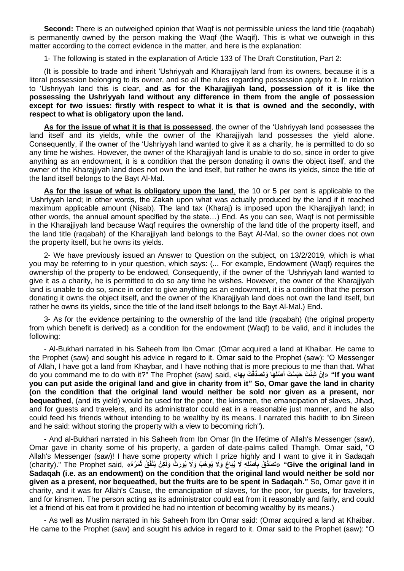**Second:** There is an outweighed opinion that Waqf is not permissible unless the land title (raqabah) is permanently owned by the person making the Waqf (the Waqif). This is what we outweigh in this matter according to the correct evidence in the matter, and here is the explanation:

1- The following is stated in the explanation of Article 133 of The Draft Constitution, Part 2:

(It is possible to trade and inherit 'Ushriyyah and Kharajjiyah land from its owners, because it is a literal possession belonging to its owner, and so all the rules regarding possession apply to it. In relation to 'Ushriyyah land this is clear, **and as for the Kharajjiyah land, possession of it is like the possessing the Ushriyyah land without any difference in them from the angle of possession except for two issues: firstly with respect to what it is that is owned and the secondly, with respect to what is obligatory upon the land.**

**As for the issue of what it is that is possessed**, the owner of the 'Ushriyyah land possesses the land itself and its yields, while the owner of the Kharajjiyah land possesses the yield alone. Consequently, if the owner of the 'Ushriyyah land wanted to give it as a charity, he is permitted to do so any time he wishes. However, the owner of the Kharajjiyah land is unable to do so, since in order to give anything as an endowment, it is a condition that the person donating it owns the object itself, and the owner of the Kharajjiyah land does not own the land itself, but rather he owns its yields, since the title of the land itself belongs to the Bayt Al-Mal.

**As for the issue of what is obligatory upon the land**, the 10 or 5 per cent is applicable to the 'Ushriyyah land; in other words, the Zakah upon what was actually produced by the land if it reached maximum applicable amount (Nisab). The land tax (Kharaj) is imposed upon the Kharajjiyah land; in other words, the annual amount specified by the state…) End. As you can see, Waqf is not permissible in the Kharajjiyah land because Waqf requires the ownership of the land title of the property itself, and the land title (raqabah) of the Kharajjiyah land belongs to the Bayt Al-Mal, so the owner does not own the property itself, but he owns its yields.

2- We have previously issued an Answer to Question on the subject, on 13/2/2019, which is what you may be referring to in your question, which says: (... For example, Endowment (Waqf) requires the ownership of the property to be endowed, Consequently, if the owner of the 'Ushriyyah land wanted to give it as a charity, he is permitted to do so any time he wishes. However, the owner of the Kharajjiyah land is unable to do so, since in order to give anything as an endowment, it is a condition that the person donating it owns the object itself, and the owner of the Kharajjiyah land does not own the land itself, but rather he owns its yields, since the title of the land itself belongs to the Bayt Al-Mal.) End.

3- As for the evidence pertaining to the ownership of the land title (raqabah) (the original property from which benefit is derived) as a condition for the endowment (Waqf) to be valid, and it includes the following:

- Al-Bukhari narrated in his Saheeh from Ibn Omar: (Omar acquired a land at Khaibar. He came to the Prophet (saw) and sought his advice in regard to it. Omar said to the Prophet (saw): "O Messenger of Allah, I have got a land from Khaybar, and I have nothing that is more precious to me than that. What do you command me to do with it?" The Prophet (saw) said, «لَا أَصْلَهَا وَتَصَدَّقْتَ بِهَا» (do you command me to do with it?" The Prophet (saw) said, «إِنْ شِئْتَ حَبَسْتَ أَصْلَهَا وَتَصَدَّقْتَ بِهَا **ِ َ ِ you can put aside the original land and give in charity from it" So, Omar gave the land in charity (on the condition that the original land would neither be sold nor given as a present, nor bequeathed**, (and its yield) would be used for the poor, the kinsmen, the emancipation of slaves, Jihad, and for guests and travelers, and its administrator could eat in a reasonable just manner, and he also could feed his friends without intending to be wealthy by its means. I narrated this hadith to ibn Sireen and he said: without storing the property with a view to becoming rich").

- And al-Bukhari narrated in his Saheeh from Ibn Omar (In the lifetime of Allah's Messenger (saw), Omar gave in charity some of his property, a garden of date-palms called Thamgh. Omar said, "O Allah's Messenger (saw)! I have some property which I prize highly and I want to give it in Sadaqah Give the original land in'' «تَصَذَّقْ بِأَصْلِّهِ لَا يُبَاعُ وَلَا يُوهَبُ وَلَا يُورَثُ وَلَكِنْ يُنْفَقُ شَرُهُ» (charity)." The Prophet said, «كَمِنْ يُنْفَقُ شَرُهُ» (charity). **َ ِ Sadaqah (i.e. as an endowment) on the condition that the original land would neither be sold nor given as a present, nor bequeathed, but the fruits are to be spent in Sadaqah."** So, Omar gave it in charity, and it was for Allah's Cause, the emancipation of slaves, for the poor, for guests, for travelers, and for kinsmen. The person acting as its administrator could eat from it reasonably and fairly, and could let a friend of his eat from it provided he had no intention of becoming wealthy by its means.)

- As well as Muslim narrated in his Saheeh from Ibn Omar said: (Omar acquired a land at Khaibar. He came to the Prophet (saw) and sought his advice in regard to it. Omar said to the Prophet (saw): "O